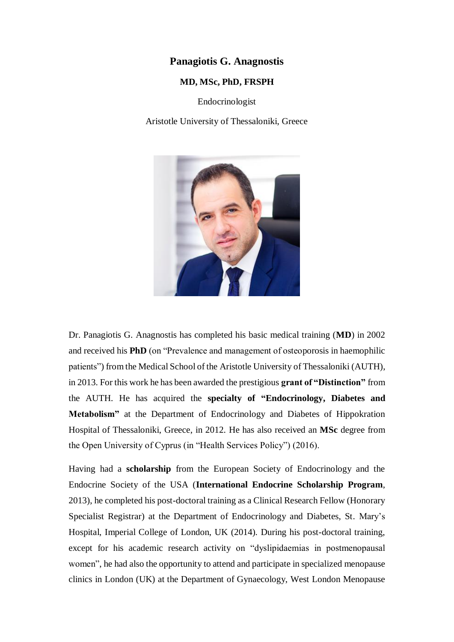### **Panagiotis G. Anagnostis**

#### **MD, MSc, PhD, FRSPH**

Endocrinologist

Aristotle University of Thessaloniki, Greece



Dr. Panagiotis G. Anagnostis has completed his basic medical training (**MD**) in 2002 and received his **PhD** (on "Prevalence and management of osteoporosis in haemophilic patients") from the Medical School of the Aristotle University of Thessaloniki (AUTH), in 2013. For this work he has been awarded the prestigious **grant of "Distinction"** from the AUTH. He has acquired the **specialty of "Endocrinology, Diabetes and Metabolism"** at the Department of Endocrinology and Diabetes of Hippokration Hospital of Thessaloniki, Greece, in 2012. He has also received an **MSc** degree from the Open University of Cyprus (in "Health Services Policy") (2016).

Having had a **scholarship** from the European Society of Endocrinology and the Endocrine Society of the USA (**International Endocrine Scholarship Program**, 2013), he completed his post-doctoral training as a Clinical Research Fellow (Honorary Specialist Registrar) at the Department of Endocrinology and Diabetes, St. Mary's Hospital, Imperial College of London, UK (2014). During his post-doctoral training, except for his academic research activity on "dyslipidaemias in postmenopausal women", he had also the opportunity to attend and participate in specialized menopause clinics in London (UK) at the Department of Gynaecology, West London Menopause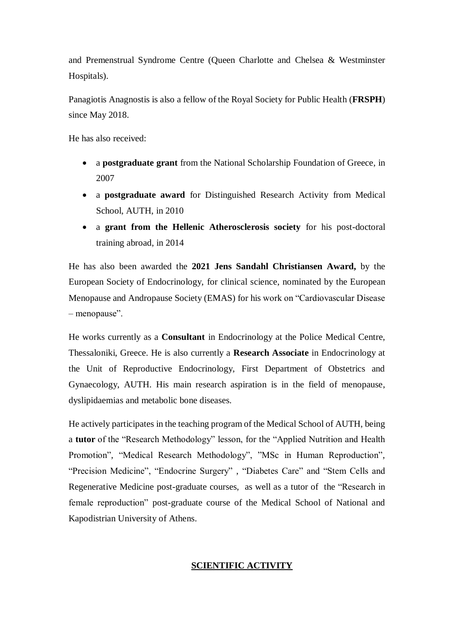and Premenstrual Syndrome Centre (Queen Charlotte and Chelsea & Westminster Hospitals).

Panagiotis Anagnostis is also a fellow of the Royal Society for Public Health (**FRSPH**) since May 2018.

He has also received:

- a **postgraduate grant** from the National Scholarship Foundation of Greece, in 2007
- a **postgraduate award** for Distinguished Research Activity from Medical School, AUTH, in 2010
- a **grant from the Hellenic Atherosclerosis society** for his post-doctoral training abroad, in 2014

He has also been awarded the **2021 Jens Sandahl Christiansen Award,** by the European Society of Endocrinology, for clinical science, nominated by the European Menopause and Andropause Society (EMAS) for his work on "Cardiovascular Disease – menopause".

He works currently as a **Consultant** in Endocrinology at the Police Medical Centre, Thessaloniki, Greece. He is also currently a **Research Associate** in Endocrinology at the Unit of Reproductive Endocrinology, First Department of Obstetrics and Gynaecology, AUTH. His main research aspiration is in the field of menopause, dyslipidaemias and metabolic bone diseases.

He actively participates in the teaching program of the Medical School of AUTH, being a **tutor** of the "Research Methodology" lesson, for the "Applied Nutrition and Health Promotion", "Medical Research Methodology", "MSc in Human Reproduction", "Precision Medicine", "Endocrine Surgery" , "Diabetes Care" and "Stem Cells and Regenerative Medicine post-graduate courses, as well as a tutor of the "Research in female reproduction" post-graduate course of the Medical School of National and Kapodistrian University of Athens.

# **SCIENTIFIC ACTIVITY**